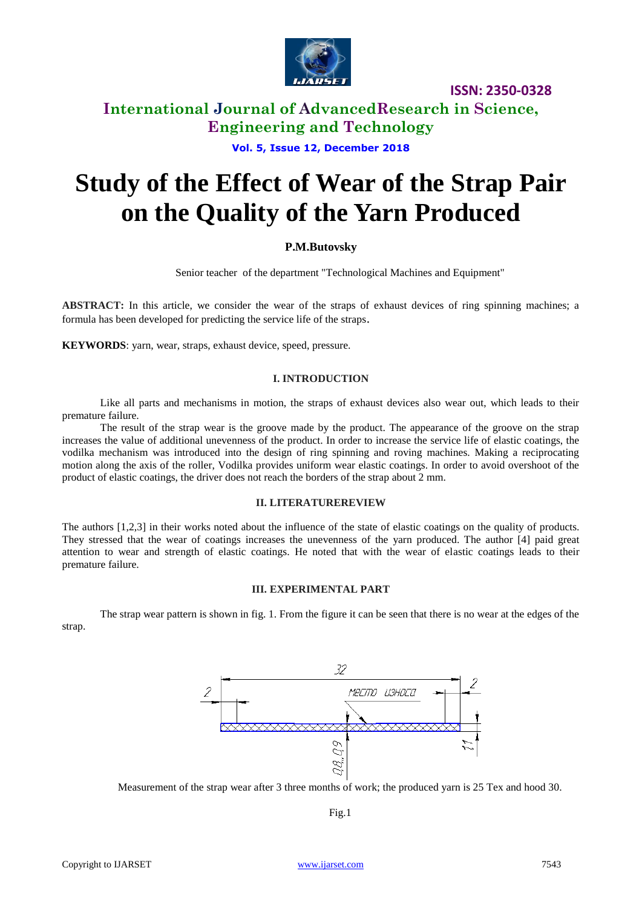

# **International Journal of AdvancedResearch in Science, Engineering and Technology**

**Vol. 5, Issue 12, December 2018**

# **Study of the Effect of Wear of the Strap Pair on the Quality of the Yarn Produced**

## **P.M.Butovsky**

Senior teacher of the department "Technological Machines and Equipment"

**ABSTRACT:** In this article, we consider the wear of the straps of exhaust devices of ring spinning machines; a formula has been developed for predicting the service life of the straps.

**KEYWORDS**: yarn, wear, straps, exhaust device, speed, pressure.

#### **I. INTRODUCTION**

Like all parts and mechanisms in motion, the straps of exhaust devices also wear out, which leads to their premature failure.

The result of the strap wear is the groove made by the product. The appearance of the groove on the strap increases the value of additional unevenness of the product. In order to increase the service life of elastic coatings, the vodilka mechanism was introduced into the design of ring spinning and roving machines. Making a reciprocating motion along the axis of the roller, Vodilka provides uniform wear elastic coatings. In order to avoid overshoot of the product of elastic coatings, the driver does not reach the borders of the strap about 2 mm.

#### **II. LITERATUREREVIEW**

The authors [1,2,3] in their works noted about the influence of the state of elastic coatings on the quality of products. They stressed that the wear of coatings increases the unevenness of the yarn produced. The author [4] paid great attention to wear and strength of elastic coatings. He noted that with the wear of elastic coatings leads to their premature failure.

#### **III. EXPERIMENTAL PART**

The strap wear pattern is shown in fig. 1. From the figure it can be seen that there is no wear at the edges of the strap.



Measurement of the strap wear after 3 three months of work; the produced yarn is 25 Tex and hood 30.

Fig.1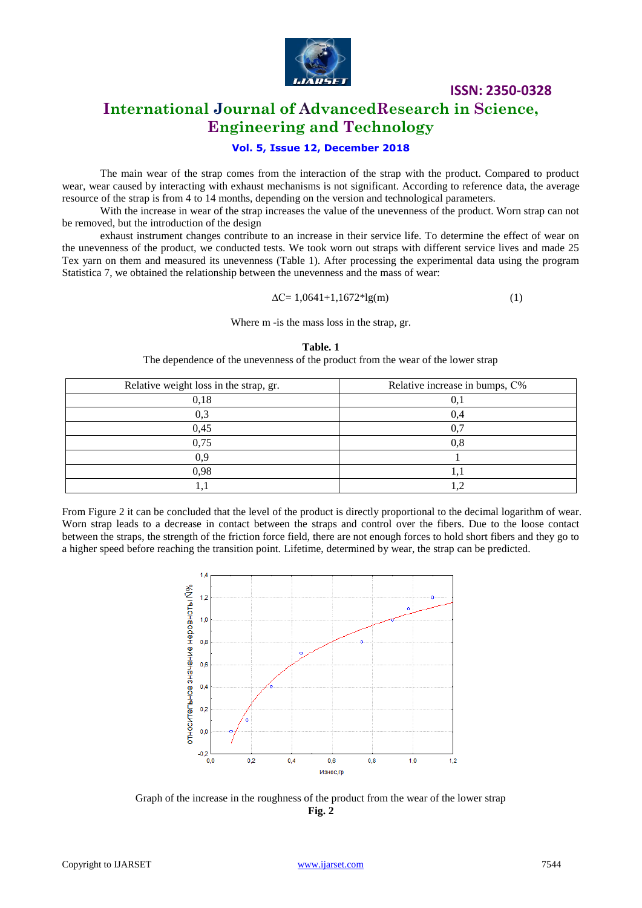

# **International Journal of AdvancedResearch in Science, Engineering and Technology**

### **Vol. 5, Issue 12, December 2018**

The main wear of the strap comes from the interaction of the strap with the product. Compared to product wear, wear caused by interacting with exhaust mechanisms is not significant. According to reference data, the average resource of the strap is from 4 to 14 months, depending on the version and technological parameters.

With the increase in wear of the strap increases the value of the unevenness of the product. Worn strap can not be removed, but the introduction of the design

exhaust instrument changes contribute to an increase in their service life. To determine the effect of wear on the unevenness of the product, we conducted tests. We took worn out straps with different service lives and made 25 Tex yarn on them and measured its unevenness (Table 1). After processing the experimental data using the program Statistica 7, we obtained the relationship between the unevenness and the mass of wear:

$$
\Delta C = 1,0641 + 1,1672 * 1g(m) \tag{1}
$$

#### Where m -is the mass loss in the strap, gr.

#### **Table. 1**

The dependence of the unevenness of the product from the wear of the lower strap

| Relative weight loss in the strap, gr. | Relative increase in bumps, C% |  |  |
|----------------------------------------|--------------------------------|--|--|
| 0,18                                   |                                |  |  |
| 0,3                                    |                                |  |  |
| 0,45                                   |                                |  |  |
| 0,75                                   | $0.8\,$                        |  |  |
| 0.9                                    |                                |  |  |
| 0,98                                   |                                |  |  |
|                                        |                                |  |  |

From Figure 2 it can be concluded that the level of the product is directly proportional to the decimal logarithm of wear. Worn strap leads to a decrease in contact between the straps and control over the fibers. Due to the loose contact between the straps, the strength of the friction force field, there are not enough forces to hold short fibers and they go to a higher speed before reaching the transition point. Lifetime, determined by wear, the strap can be predicted.



Graph of the increase in the roughness of the product from the wear of the lower strap **Fig. 2**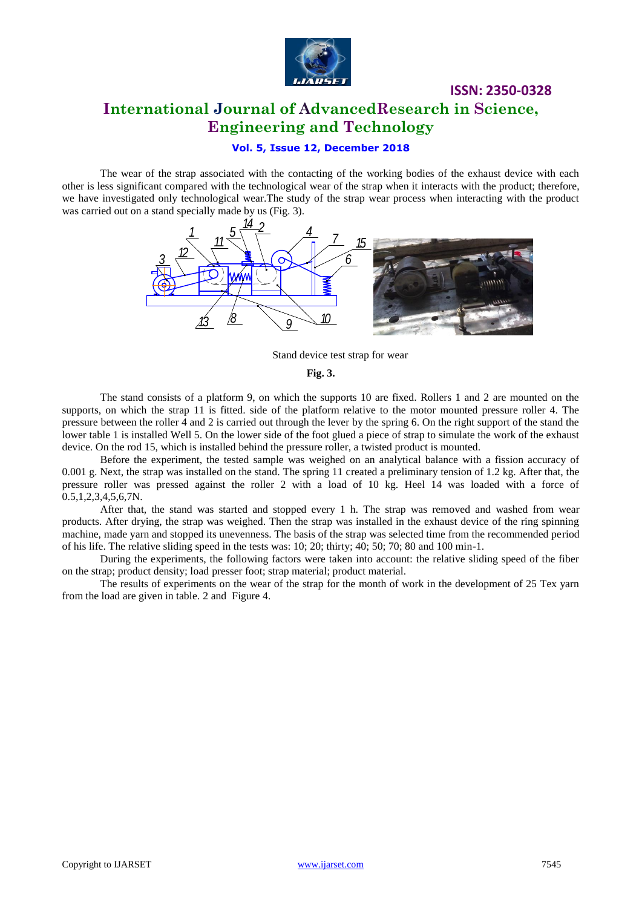

# **ISSN: 2350-0328 International Journal of AdvancedResearch in Science, Engineering and Technology**

## **Vol. 5, Issue 12, December 2018**

The wear of the strap associated with the contacting of the working bodies of the exhaust device with each other is less significant compared with the technological wear of the strap when it interacts with the product; therefore, we have investigated only technological wear.The study of the strap wear process when interacting with the product was carried out on a stand specially made by us (Fig. 3).



Stand device test strap for wear

**Fig. 3.**

The stand consists of a platform 9, on which the supports 10 are fixed. Rollers 1 and 2 are mounted on the supports, on which the strap 11 is fitted. side of the platform relative to the motor mounted pressure roller 4. The pressure between the roller  $\overline{4}$  and 2 is carried out through the lever by the spring 6. On the right support of the stand the lower table 1 is installed Well 5. On the lower side of the foot glued a piece of strap to simulate the work of the exhaust device. On the rod 15, which is installed behind the pressure roller, a twisted product is mounted.

Before the experiment, the tested sample was weighed on an analytical balance with a fission accuracy of 0.001 g. Next, the strap was installed on the stand. The spring 11 created a preliminary tension of 1.2 kg. After that, the pressure roller was pressed against the roller 2 with a load of 10 kg. Heel 14 was loaded with a force of  $0.5, 1, 2, 3, 4, 5, 6, 7N.$ 

After that, the stand was started and stopped every 1 h. The strap was removed and washed from wear products. After drying, the strap was weighed. Then the strap was installed in the exhaust device of the ring spinning machine, made yarn and stopped its unevenness. The basis of the strap was selected time from the recommended period of his life. The relative sliding speed in the tests was: 10; 20; thirty; 40; 50; 70; 80 and 100 min-1.

During the experiments, the following factors were taken into account: the relative sliding speed of the fiber on the strap; product density; load presser foot; strap material; product material.

The results of experiments on the wear of the strap for the month of work in the development of 25 Tex yarn from the load are given in table. 2 and Figure 4.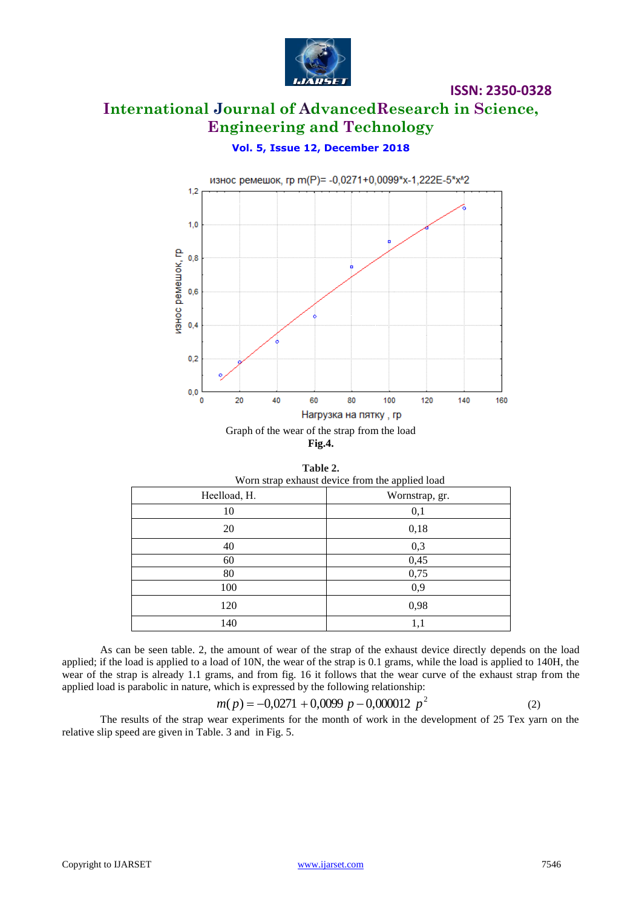

# **International Journal of AdvancedResearch in Science, Engineering and Technology**

# **Vol. 5, Issue 12, December 2018**



**Fig.4.**

**Table 2.**

| Worn strap exhaust device from the applied load |                |  |  |  |
|-------------------------------------------------|----------------|--|--|--|
| Heelload, H.                                    | Wornstrap, gr. |  |  |  |
| 10                                              | 0,1            |  |  |  |
| 20                                              | 0,18           |  |  |  |
| 40                                              | 0,3            |  |  |  |
| 60                                              | 0,45           |  |  |  |
| 80                                              | 0,75           |  |  |  |
| 100                                             | 0,9            |  |  |  |
| 120                                             | 0,98           |  |  |  |
| 140                                             | 1,1            |  |  |  |

As can be seen table. 2, the amount of wear of the strap of the exhaust device directly depends on the load applied; if the load is applied to a load of 10N, the wear of the strap is 0.1 grams, while the load is applied to 140H, the wear of the strap is already 1.1 grams, and from fig. 16 it follows that the wear curve of the exhaust strap from the applied load is parabolic in nature, which is expressed by the following relationship:

$$
m(p) = -0,0271 + 0,0099 \ p - 0,000012 \ p^2 \tag{2}
$$

The results of the strap wear experiments for the month of work in the development of 25 Tex yarn on the relative slip speed are given in Table. 3 and in Fig. 5.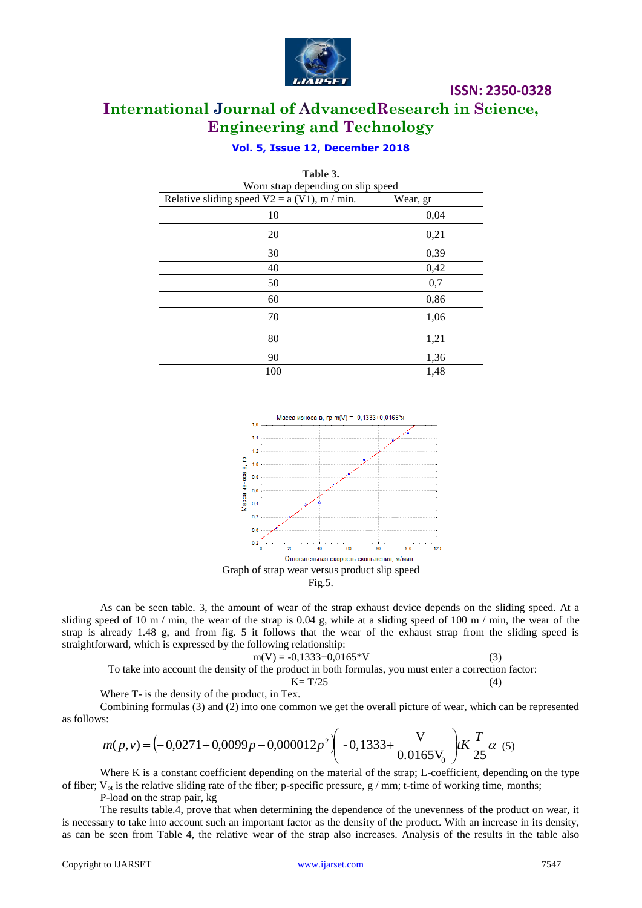

**International Journal of AdvancedResearch in Science, Engineering and Technology**

## **Vol. 5, Issue 12, December 2018**

| Table 3.                                        |          |  |  |  |  |
|-------------------------------------------------|----------|--|--|--|--|
| Worn strap depending on slip speed              |          |  |  |  |  |
| Relative sliding speed $V2 = a (V1)$ , m / min. | Wear, gr |  |  |  |  |
| 10                                              | 0,04     |  |  |  |  |
| 20                                              | 0,21     |  |  |  |  |
| 30                                              | 0,39     |  |  |  |  |
| 40                                              | 0,42     |  |  |  |  |
| 50                                              | 0,7      |  |  |  |  |
| 60                                              | 0,86     |  |  |  |  |
| 70                                              | 1,06     |  |  |  |  |
| 80                                              | 1,21     |  |  |  |  |
| 90                                              | 1,36     |  |  |  |  |
| 100                                             | 1,48     |  |  |  |  |





As can be seen table. 3, the amount of wear of the strap exhaust device depends on the sliding speed. At a sliding speed of 10 m / min, the wear of the strap is 0.04 g, while at a sliding speed of 100 m / min, the wear of the strap is already 1.48 g, and from fig. 5 it follows that the wear of the exhaust strap from the sliding speed is straightforward, which is expressed by the following relationship:

$$
m(V) = -0,1333+0,0165*V
$$
 (3)  
To take into account the density of the product in both formulas, you must enter a correction factor:

 $K = T/25$  (4)

Where T- is the density of the product, in Tex.

Combining formulas (3) and (2) into one common we get the overall picture of wear, which can be represented as follows:

$$
m(p,v) = \left(-0.0271 + 0.0099p - 0.000012p^2\right)\left(-0.1333 + \frac{V}{0.0165V_0}\right) tK\frac{T}{25}\alpha
$$
 (5)

Where K is a constant coefficient depending on the material of the strap; L-coefficient, depending on the type of fiber;  $V_{ot}$  is the relative sliding rate of the fiber; p-specific pressure, g / mm; t-time of working time, months;

P-load on the strap pair, kg

The results table.4, prove that when determining the dependence of the unevenness of the product on wear, it is necessary to take into account such an important factor as the density of the product. With an increase in its density, as can be seen from Table 4, the relative wear of the strap also increases. Analysis of the results in the table also